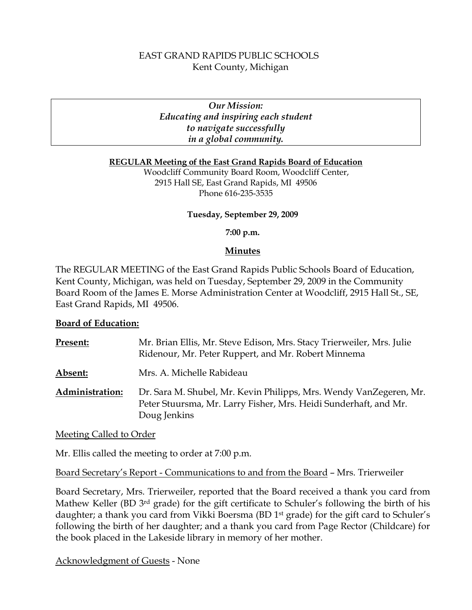# EAST GRAND RAPIDS PUBLIC SCHOOLS Kent County, Michigan

# *Our Mission: Educating and inspiring each student to navigate successfully in a global community.*

#### **REGULAR Meeting of the East Grand Rapids Board of Education**

Woodcliff Community Board Room, Woodcliff Center, 2915 Hall SE, East Grand Rapids, MI 49506 Phone 616-235-3535

#### **Tuesday, September 29, 2009**

**7:00 p.m.**

# **Minutes**

The REGULAR MEETING of the East Grand Rapids Public Schools Board of Education, Kent County, Michigan, was held on Tuesday, September 29, 2009 in the Community Board Room of the James E. Morse Administration Center at Woodcliff, 2915 Hall St., SE, East Grand Rapids, MI 49506.

# **Board of Education:**

| Present:        | Mr. Brian Ellis, Mr. Steve Edison, Mrs. Stacy Trierweiler, Mrs. Julie<br>Ridenour, Mr. Peter Ruppert, and Mr. Robert Minnema                           |
|-----------------|--------------------------------------------------------------------------------------------------------------------------------------------------------|
| Absent:         | Mrs. A. Michelle Rabideau                                                                                                                              |
| Administration: | Dr. Sara M. Shubel, Mr. Kevin Philipps, Mrs. Wendy VanZegeren, Mr.<br>Peter Stuursma, Mr. Larry Fisher, Mrs. Heidi Sunderhaft, and Mr.<br>Doug Jenkins |

Meeting Called to Order

Mr. Ellis called the meeting to order at 7:00 p.m.

Board Secretary's Report - Communications to and from the Board – Mrs. Trierweiler

Board Secretary, Mrs. Trierweiler, reported that the Board received a thank you card from Mathew Keller (BD 3<sup>rd</sup> grade) for the gift certificate to Schuler's following the birth of his daughter; a thank you card from Vikki Boersma (BD 1<sup>st</sup> grade) for the gift card to Schuler's following the birth of her daughter; and a thank you card from Page Rector (Childcare) for the book placed in the Lakeside library in memory of her mother.

Acknowledgment of Guests - None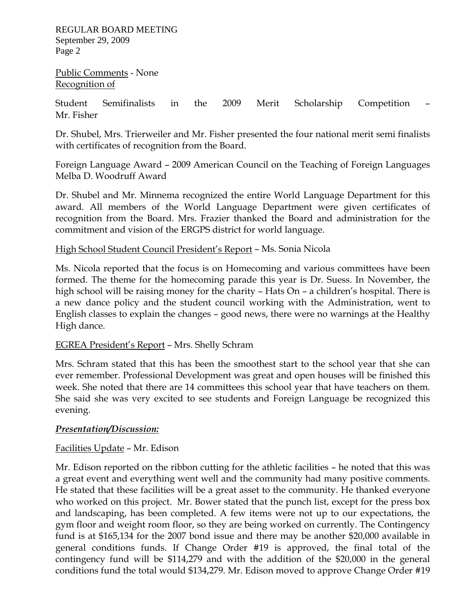REGULAR BOARD MEETING September 29, 2009 Page 2

Public Comments - None Recognition of

Student Semifinalists in the 2009 Merit Scholarship Competition – Mr. Fisher

Dr. Shubel, Mrs. Trierweiler and Mr. Fisher presented the four national merit semi finalists with certificates of recognition from the Board.

Foreign Language Award – 2009 American Council on the Teaching of Foreign Languages Melba D. Woodruff Award

Dr. Shubel and Mr. Minnema recognized the entire World Language Department for this award. All members of the World Language Department were given certificates of recognition from the Board. Mrs. Frazier thanked the Board and administration for the commitment and vision of the ERGPS district for world language.

# High School Student Council President's Report – Ms. Sonia Nicola

Ms. Nicola reported that the focus is on Homecoming and various committees have been formed. The theme for the homecoming parade this year is Dr. Suess. In November, the high school will be raising money for the charity – Hats On – a children's hospital. There is a new dance policy and the student council working with the Administration, went to English classes to explain the changes – good news, there were no warnings at the Healthy High dance.

# EGREA President's Report – Mrs. Shelly Schram

Mrs. Schram stated that this has been the smoothest start to the school year that she can ever remember. Professional Development was great and open houses will be finished this week. She noted that there are 14 committees this school year that have teachers on them. She said she was very excited to see students and Foreign Language be recognized this evening.

# *Presentation/Discussion:*

# Facilities Update – Mr. Edison

Mr. Edison reported on the ribbon cutting for the athletic facilities – he noted that this was a great event and everything went well and the community had many positive comments. He stated that these facilities will be a great asset to the community. He thanked everyone who worked on this project. Mr. Bower stated that the punch list, except for the press box and landscaping, has been completed. A few items were not up to our expectations, the gym floor and weight room floor, so they are being worked on currently. The Contingency fund is at \$165,134 for the 2007 bond issue and there may be another \$20,000 available in general conditions funds. If Change Order #19 is approved, the final total of the contingency fund will be \$114,279 and with the addition of the \$20,000 in the general conditions fund the total would \$134,279. Mr. Edison moved to approve Change Order #19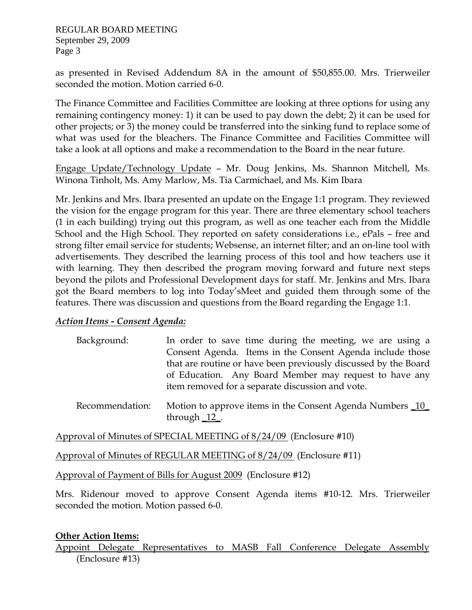as presented in Revised Addendum 8A in the amount of \$50,855.00. Mrs. Trierweiler seconded the motion. Motion carried 6-0.

The Finance Committee and Facilities Committee are looking at three options for using any remaining contingency money: 1) it can be used to pay down the debt; 2) it can be used for other projects; or 3) the money could be transferred into the sinking fund to replace some of what was used for the bleachers. The Finance Committee and Facilities Committee will take a look at all options and make a recommendation to the Board in the near future.

Engage Update/Technology Update – Mr. Doug Jenkins, Ms. Shannon Mitchell, Ms. Winona Tinholt, Ms. Amy Marlow, Ms. Tia Carmichael, and Ms. Kim Ibara

Mr. Jenkins and Mrs. Ibara presented an update on the Engage 1:1 program. They reviewed the vision for the engage program for this year. There are three elementary school teachers (1 in each building) trying out this program, as well as one teacher each from the Middle School and the High School. They reported on safety considerations i.e., ePals – free and strong filter email service for students; Websense, an internet filter; and an on-line tool with advertisements. They described the learning process of this tool and how teachers use it with learning. They then described the program moving forward and future next steps beyond the pilots and Professional Development days for staff. Mr. Jenkins and Mrs. Ibara got the Board members to log into Today'sMeet and guided them through some of the features. There was discussion and questions from the Board regarding the Engage 1:1.

# *Action Items - Consent Agenda:*

| Background: | In order to save time during the meeting, we are using a        |
|-------------|-----------------------------------------------------------------|
|             | Consent Agenda. Items in the Consent Agenda include those       |
|             | that are routine or have been previously discussed by the Board |
|             | of Education. Any Board Member may request to have any          |
|             | item removed for a separate discussion and vote.                |

Recommendation: Motion to approve items in the Consent Agenda Numbers 10 through  $12$ .

Approval of Minutes of SPECIAL MEETING of 8/24/09 (Enclosure #10)

Approval of Minutes of REGULAR MEETING of 8/24/09 (Enclosure #11)

Approval of Payment of Bills for August 2009 (Enclosure #12)

Mrs. Ridenour moved to approve Consent Agenda items #10-12. Mrs. Trierweiler seconded the motion. Motion passed 6-0.

# **Other Action Items:**

Appoint Delegate Representatives to MASB Fall Conference Delegate Assembly (Enclosure #13)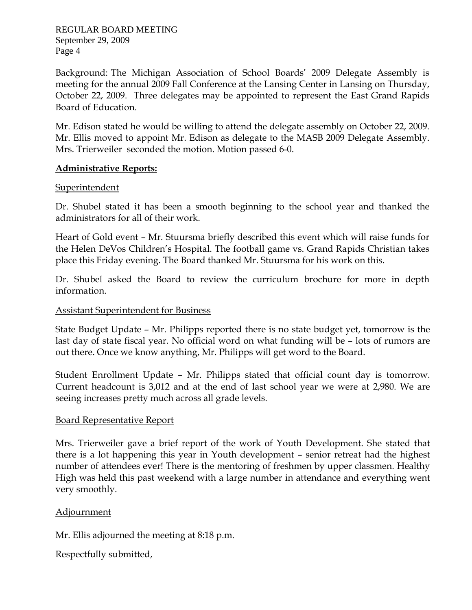REGULAR BOARD MEETING September 29, 2009 Page 4

Background: The Michigan Association of School Boards' 2009 Delegate Assembly is meeting for the annual 2009 Fall Conference at the Lansing Center in Lansing on Thursday, October 22, 2009. Three delegates may be appointed to represent the East Grand Rapids Board of Education.

Mr. Edison stated he would be willing to attend the delegate assembly on October 22, 2009. Mr. Ellis moved to appoint Mr. Edison as delegate to the MASB 2009 Delegate Assembly. Mrs. Trierweiler seconded the motion. Motion passed 6-0.

#### **Administrative Reports:**

#### **Superintendent**

Dr. Shubel stated it has been a smooth beginning to the school year and thanked the administrators for all of their work.

Heart of Gold event – Mr. Stuursma briefly described this event which will raise funds for the Helen DeVos Children's Hospital. The football game vs. Grand Rapids Christian takes place this Friday evening. The Board thanked Mr. Stuursma for his work on this.

Dr. Shubel asked the Board to review the curriculum brochure for more in depth information.

#### Assistant Superintendent for Business

State Budget Update – Mr. Philipps reported there is no state budget yet, tomorrow is the last day of state fiscal year. No official word on what funding will be – lots of rumors are out there. Once we know anything, Mr. Philipps will get word to the Board.

Student Enrollment Update – Mr. Philipps stated that official count day is tomorrow. Current headcount is 3,012 and at the end of last school year we were at 2,980. We are seeing increases pretty much across all grade levels.

#### Board Representative Report

Mrs. Trierweiler gave a brief report of the work of Youth Development. She stated that there is a lot happening this year in Youth development – senior retreat had the highest number of attendees ever! There is the mentoring of freshmen by upper classmen. Healthy High was held this past weekend with a large number in attendance and everything went very smoothly.

# Adjournment

Mr. Ellis adjourned the meeting at 8:18 p.m.

Respectfully submitted,